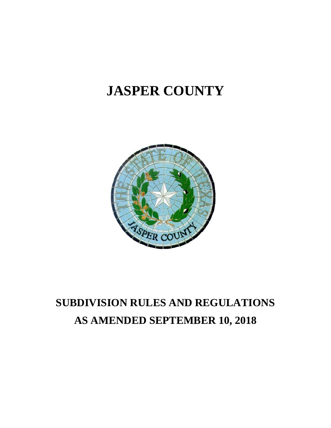# **JASPER COUNTY**



# **SUBDIVISION RULES AND REGULATIONS AS AMENDED SEPTEMBER 10, 2018**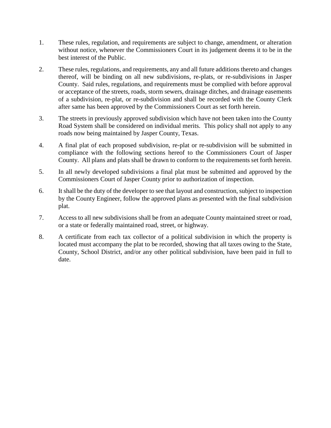- 1. These rules, regulation, and requirements are subject to change, amendment, or alteration without notice, whenever the Commissioners Court in its judgement deems it to be in the best interest of the Public.
- 2. These rules, regulations, and requirements, any and all future additions thereto and changes thereof, will be binding on all new subdivisions, re-plats, or re-subdivisions in Jasper County. Said rules, regulations, and requirements must be complied with before approval or acceptance of the streets, roads, storm sewers, drainage ditches, and drainage easements of a subdivision, re-plat, or re-subdivision and shall be recorded with the County Clerk after same has been approved by the Commissioners Court as set forth herein.
- 3. The streets in previously approved subdivision which have not been taken into the County Road System shall be considered on individual merits. This policy shall not apply to any roads now being maintained by Jasper County, Texas.
- 4. A final plat of each proposed subdivision, re-plat or re-subdivision will be submitted in compliance with the following sections hereof to the Commissioners Court of Jasper County. All plans and plats shall be drawn to conform to the requirements set forth herein.
- 5. In all newly developed subdivisions a final plat must be submitted and approved by the Commissioners Court of Jasper County prior to authorization of inspection.
- 6. It shall be the duty of the developer to see that layout and construction, subject to inspection by the County Engineer, follow the approved plans as presented with the final subdivision plat.
- 7. Access to all new subdivisions shall be from an adequate County maintained street or road, or a state or federally maintained road, street, or highway.
- 8. A certificate from each tax collector of a political subdivision in which the property is located must accompany the plat to be recorded, showing that all taxes owing to the State, County, School District, and/or any other political subdivision, have been paid in full to date.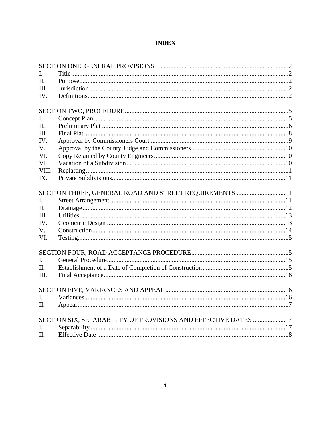# **INDEX**

| L              |                                                                |  |
|----------------|----------------------------------------------------------------|--|
| $\Pi$ .        |                                                                |  |
| III.           |                                                                |  |
| IV.            |                                                                |  |
|                |                                                                |  |
|                |                                                                |  |
| I.             |                                                                |  |
| $\Pi$ .        |                                                                |  |
| III.           |                                                                |  |
| IV.            |                                                                |  |
| $V_{\cdot}$    |                                                                |  |
| VI.            |                                                                |  |
| VII.           |                                                                |  |
| VIII.          |                                                                |  |
| IX.            |                                                                |  |
|                |                                                                |  |
| $\mathbf{I}$ . | SECTION THREE, GENERAL ROAD AND STREET REQUIREMENTS 11         |  |
| II.            |                                                                |  |
| III.           |                                                                |  |
|                |                                                                |  |
| IV.            |                                                                |  |
| V.             |                                                                |  |
| VI.            |                                                                |  |
|                |                                                                |  |
| $\overline{L}$ |                                                                |  |
| $\Pi$ .        |                                                                |  |
| III.           |                                                                |  |
|                |                                                                |  |
|                |                                                                |  |
| L.             |                                                                |  |
| II.            |                                                                |  |
|                | SECTION SIX, SEPARABILITY OF PROVISIONS AND EFFECTIVE DATES 17 |  |
| $\mathbf{I}$ . |                                                                |  |
| Н.             |                                                                |  |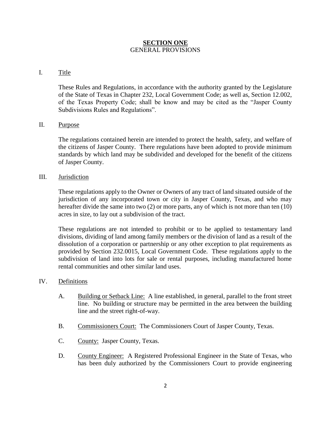#### **SECTION ONE** GENERAL PROVISIONS

#### I. Title

These Rules and Regulations, in accordance with the authority granted by the Legislature of the State of Texas in Chapter 232, Local Government Code; as well as, Section 12.002, of the Texas Property Code; shall be know and may be cited as the "Jasper County Subdivisions Rules and Regulations".

#### II. Purpose

The regulations contained herein are intended to protect the health, safety, and welfare of the citizens of Jasper County. There regulations have been adopted to provide minimum standards by which land may be subdivided and developed for the benefit of the citizens of Jasper County.

#### III. Jurisdiction

These regulations apply to the Owner or Owners of any tract of land situated outside of the jurisdiction of any incorporated town or city in Jasper County, Texas, and who may hereafter divide the same into two (2) or more parts, any of which is not more than ten (10) acres in size, to lay out a subdivision of the tract.

These regulations are not intended to prohibit or to be applied to testamentary land divisions, dividing of land among family members or the division of land as a result of the dissolution of a corporation or partnership or any other exception to plat requirements as provided by Section 232.0015, Local Government Code. These regulations apply to the subdivision of land into lots for sale or rental purposes, including manufactured home rental communities and other similar land uses.

#### IV. Definitions

- A. Building or Setback Line: A line established, in general, parallel to the front street line. No building or structure may be permitted in the area between the building line and the street right-of-way.
- B. Commissioners Court: The Commissioners Court of Jasper County, Texas.
- C. County: Jasper County, Texas.
- D. County Engineer: A Registered Professional Engineer in the State of Texas, who has been duly authorized by the Commissioners Court to provide engineering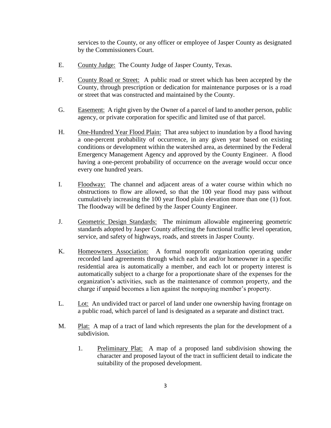services to the County, or any officer or employee of Jasper County as designated by the Commissioners Court.

- E. County Judge: The County Judge of Jasper County, Texas.
- F. County Road or Street: A public road or street which has been accepted by the County, through prescription or dedication for maintenance purposes or is a road or street that was constructed and maintained by the County.
- G. Easement: A right given by the Owner of a parcel of land to another person, public agency, or private corporation for specific and limited use of that parcel.
- H. One-Hundred Year Flood Plain: That area subject to inundation by a flood having a one-percent probability of occurrence, in any given year based on existing conditions or development within the watershed area, as determined by the Federal Emergency Management Agency and approved by the County Engineer. A flood having a one-percent probability of occurrence on the average would occur once every one hundred years.
- I. Floodway: The channel and adjacent areas of a water course within which no obstructions to flow are allowed, so that the 100 year flood may pass without cumulatively increasing the 100 year flood plain elevation more than one (1) foot. The floodway will be defined by the Jasper County Engineer.
- J. Geometric Design Standards: The minimum allowable engineering geometric standards adopted by Jasper County affecting the functional traffic level operation, service, and safety of highways, roads, and streets in Jasper County.
- K. Homeowners Association: A formal nonprofit organization operating under recorded land agreements through which each lot and/or homeowner in a specific residential area is automatically a member, and each lot or property interest is automatically subject to a charge for a proportionate share of the expenses for the organization's activities, such as the maintenance of common property, and the charge if unpaid becomes a lien against the nonpaying member's property.
- L. Lot: An undivided tract or parcel of land under one ownership having frontage on a public road, which parcel of land is designated as a separate and distinct tract.
- M. Plat: A map of a tract of land which represents the plan for the development of a subdivision.
	- 1. Preliminary Plat: A map of a proposed land subdivision showing the character and proposed layout of the tract in sufficient detail to indicate the suitability of the proposed development.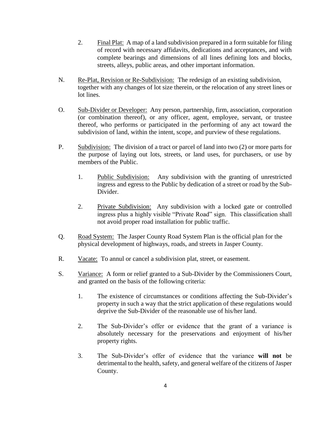- 2. Final Plat: A map of a land subdivision prepared in a form suitable for filing of record with necessary affidavits, dedications and acceptances, and with complete bearings and dimensions of all lines defining lots and blocks, streets, alleys, public areas, and other important information.
- N. Re-Plat, Revision or Re-Subdivision: The redesign of an existing subdivision, together with any changes of lot size therein, or the relocation of any street lines or lot lines.
- O. Sub-Divider or Developer: Any person, partnership, firm, association, corporation (or combination thereof), or any officer, agent, employee, servant, or trustee thereof, who performs or participated in the performing of any act toward the subdivision of land, within the intent, scope, and purview of these regulations.
- P. Subdivision: The division of a tract or parcel of land into two (2) or more parts for the purpose of laying out lots, streets, or land uses, for purchasers, or use by members of the Public.
	- 1. Public Subdivision: Any subdivision with the granting of unrestricted ingress and egress to the Public by dedication of a street or road by the Sub-Divider.
	- 2. Private Subdivision: Any subdivision with a locked gate or controlled ingress plus a highly visible "Private Road" sign. This classification shall not avoid proper road installation for public traffic.
- Q. Road System: The Jasper County Road System Plan is the official plan for the physical development of highways, roads, and streets in Jasper County.
- R. Vacate: To annul or cancel a subdivision plat, street, or easement.
- S. Variance: A form or relief granted to a Sub-Divider by the Commissioners Court, and granted on the basis of the following criteria:
	- 1. The existence of circumstances or conditions affecting the Sub-Divider's property in such a way that the strict application of these regulations would deprive the Sub-Divider of the reasonable use of his/her land.
	- 2. The Sub-Divider's offer or evidence that the grant of a variance is absolutely necessary for the preservations and enjoyment of his/her property rights.
	- 3. The Sub-Divider's offer of evidence that the variance **will not** be detrimental to the health, safety, and general welfare of the citizens of Jasper County.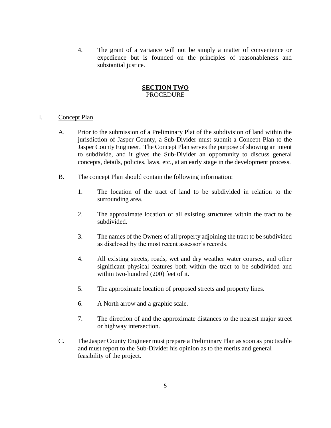4. The grant of a variance will not be simply a matter of convenience or expedience but is founded on the principles of reasonableness and substantial justice.

#### **SECTION TWO PROCEDURE**

#### I. Concept Plan

- A. Prior to the submission of a Preliminary Plat of the subdivision of land within the jurisdiction of Jasper County, a Sub-Divider must submit a Concept Plan to the Jasper County Engineer. The Concept Plan serves the purpose of showing an intent to subdivide, and it gives the Sub-Divider an opportunity to discuss general concepts, details, policies, laws, etc., at an early stage in the development process.
- B. The concept Plan should contain the following information:
	- 1. The location of the tract of land to be subdivided in relation to the surrounding area.
	- 2. The approximate location of all existing structures within the tract to be subdivided.
	- 3. The names of the Owners of all property adjoining the tract to be subdivided as disclosed by the most recent assessor's records.
	- 4. All existing streets, roads, wet and dry weather water courses, and other significant physical features both within the tract to be subdivided and within two-hundred (200) feet of it.
	- 5. The approximate location of proposed streets and property lines.
	- 6. A North arrow and a graphic scale.
	- 7. The direction of and the approximate distances to the nearest major street or highway intersection.
- C. The Jasper County Engineer must prepare a Preliminary Plan as soon as practicable and must report to the Sub-Divider his opinion as to the merits and general feasibility of the project.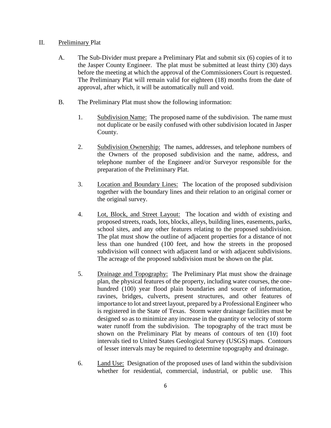#### II. Preliminary Plat

- A. The Sub-Divider must prepare a Preliminary Plat and submit six (6) copies of it to the Jasper County Engineer. The plat must be submitted at least thirty (30) days before the meeting at which the approval of the Commissioners Court is requested. The Preliminary Plat will remain valid for eighteen (18) months from the date of approval, after which, it will be automatically null and void.
- B. The Preliminary Plat must show the following information:
	- 1. Subdivision Name: The proposed name of the subdivision. The name must not duplicate or be easily confused with other subdivision located in Jasper County.
	- 2. Subdivision Ownership: The names, addresses, and telephone numbers of the Owners of the proposed subdivision and the name, address, and telephone number of the Engineer and/or Surveyor responsible for the preparation of the Preliminary Plat.
	- 3. Location and Boundary Lines: The location of the proposed subdivision together with the boundary lines and their relation to an original corner or the original survey.
	- 4. Lot, Block, and Street Layout: The location and width of existing and proposed streets, roads, lots, blocks, alleys, building lines, easements, parks, school sites, and any other features relating to the proposed subdivision. The plat must show the outline of adjacent properties for a distance of not less than one hundred (100 feet, and how the streets in the proposed subdivision will connect with adjacent land or with adjacent subdivisions. The acreage of the proposed subdivision must be shown on the plat.
	- 5. Drainage and Topography: The Preliminary Plat must show the drainage plan, the physical features of the property, including water courses, the onehundred (100) year flood plain boundaries and source of information, ravines, bridges, culverts, present structures, and other features of importance to lot and street layout, prepared by a Professional Engineer who is registered in the State of Texas. Storm water drainage facilities must be designed so as to minimize any increase in the quantity or velocity of storm water runoff from the subdivision. The topography of the tract must be shown on the Preliminary Plat by means of contours of ten (10) foot intervals tied to United States Geological Survey (USGS) maps. Contours of lesser intervals may be required to determine topography and drainage.
	- 6. Land Use: Designation of the proposed uses of land within the subdivision whether for residential, commercial, industrial, or public use. This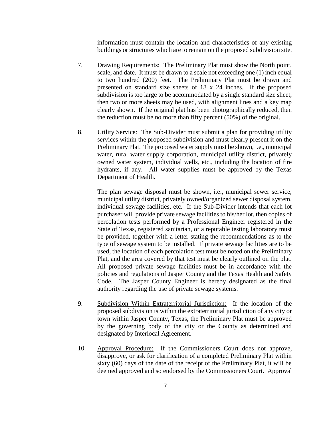information must contain the location and characteristics of any existing buildings or structures which are to remain on the proposed subdivision site.

- 7. Drawing Requirements: The Preliminary Plat must show the North point, scale, and date. It must be drawn to a scale not exceeding one (1) inch equal to two hundred (200) feet. The Preliminary Plat must be drawn and presented on standard size sheets of 18 x 24 inches. If the proposed subdivision is too large to be accommodated by a single standard size sheet, then two or more sheets may be used, with alignment lines and a key map clearly shown. If the original plat has been photographically reduced, then the reduction must be no more than fifty percent (50%) of the original.
- 8. Utility Service: The Sub-Divider must submit a plan for providing utility services within the proposed subdivision and must clearly present it on the Preliminary Plat. The proposed water supply must be shown, i.e., municipal water, rural water supply corporation, municipal utility district, privately owned water system, individual wells, etc., including the location of fire hydrants, if any. All water supplies must be approved by the Texas Department of Health.

The plan sewage disposal must be shown, i.e., municipal sewer service, municipal utility district, privately owned/organized sewer disposal system, individual sewage facilities, etc. If the Sub-Divider intends that each lot purchaser will provide private sewage facilities to his/her lot, then copies of percolation tests performed by a Professional Engineer registered in the State of Texas, registered sanitarian, or a reputable testing laboratory must be provided, together with a letter stating the recommendations as to the type of sewage system to be installed. If private sewage facilities are to be used, the location of each percolation test must be noted on the Preliminary Plat, and the area covered by that test must be clearly outlined on the plat. All proposed private sewage facilities must be in accordance with the policies and regulations of Jasper County and the Texas Health and Safety Code. The Jasper County Engineer is hereby designated as the final authority regarding the use of private sewage systems.

- 9. Subdivision Within Extraterritorial Jurisdiction: If the location of the proposed subdivision is within the extraterritorial jurisdiction of any city or town within Jasper County, Texas, the Preliminary Plat must be approved by the governing body of the city or the County as determined and designated by Interlocal Agreement.
- 10. Approval Procedure: If the Commissioners Court does not approve, disapprove, or ask for clarification of a completed Preliminary Plat within sixty (60) days of the date of the receipt of the Preliminary Plat, it will be deemed approved and so endorsed by the Commissioners Court. Approval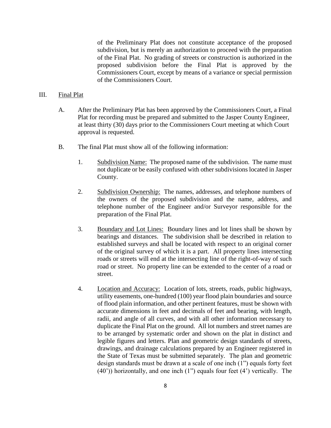of the Preliminary Plat does not constitute acceptance of the proposed subdivision, but is merely an authorization to proceed with the preparation of the Final Plat. No grading of streets or construction is authorized in the proposed subdivision before the Final Plat is approved by the Commissioners Court, except by means of a variance or special permission of the Commissioners Court.

#### III. Final Plat

- A. After the Preliminary Plat has been approved by the Commissioners Court, a Final Plat for recording must be prepared and submitted to the Jasper County Engineer, at least thirty (30) days prior to the Commissioners Court meeting at which Court approval is requested.
- B. The final Plat must show all of the following information:
	- 1. Subdivision Name: The proposed name of the subdivision. The name must not duplicate or be easily confused with other subdivisions located in Jasper County.
	- 2. Subdivision Ownership: The names, addresses, and telephone numbers of the owners of the proposed subdivision and the name, address, and telephone number of the Engineer and/or Surveyor responsible for the preparation of the Final Plat.
	- 3. Boundary and Lot Lines: Boundary lines and lot lines shall be shown by bearings and distances. The subdivision shall be described in relation to established surveys and shall be located with respect to an original corner of the original survey of which it is a part. All property lines intersecting roads or streets will end at the intersecting line of the right-of-way of such road or street. No property line can be extended to the center of a road or street.
	- 4. Location and Accuracy: Location of lots, streets, roads, public highways, utility easements, one-hundred (100) year flood plain boundaries and source of flood plain information, and other pertinent features, must be shown with accurate dimensions in feet and decimals of feet and bearing, with length, radii, and angle of all curves, and with all other information necessary to duplicate the Final Plat on the ground. All lot numbers and street names are to be arranged by systematic order and shown on the plat in distinct and legible figures and letters. Plan and geometric design standards of streets, drawings, and drainage calculations prepared by an Engineer registered in the State of Texas must be submitted separately. The plan and geometric design standards must be drawn at a scale of one inch (1") equals forty feet (40')) horizontally, and one inch (1") equals four feet (4') vertically. The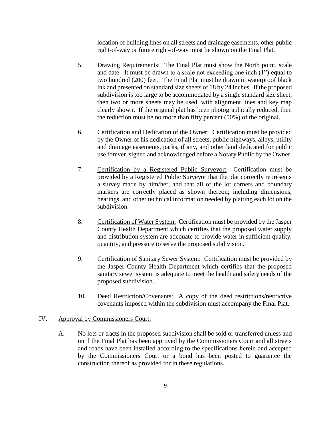location of building lines on all streets and drainage easements, other public right-of-way or future right-of-way must be shown on the Final Plat.

- 5. Drawing Requirements: The Final Plat must show the North point, scale and date. It must be drawn to a scale not exceeding one inch (1") equal to two hundred (200) feet. The Final Plat must be drawn in waterproof black ink and presented on standard size sheets of 18 by 24 inches. If the proposed subdivision is too large to be accommodated by a single standard size sheet, then two or more sheets may be used, with alignment lines and key map clearly shown. If the original plat has been photographically reduced, then the reduction must be no more than fifty percent (50%) of the original.
- 6. Certification and Dedication of the Owner: Certification must be provided by the Owner of his dedication of all streets, public highways, alleys, utility and drainage easements, parks, if any, and other land dedicated for public use forever, signed and acknowledged before a Notary Public by the Owner.
- 7. Certification by a Registered Public Surveyor: Certification must be provided by a Registered Public Surveyor that the plat correctly represents a survey made by him/her, and that all of the lot corners and boundary markers are correctly placed as shown thereon; including dimensions, bearings, and other technical information needed by platting each lot on the subdivision.
- 8. Certification of Water System: Certification must be provided by the Jasper County Health Department which certifies that the proposed water supply and distribution system are adequate to provide water in sufficient quality, quantity, and pressure to serve the proposed subdivision.
- 9. Certification of Sanitary Sewer System: Certification must be provided by the Jasper County Health Department which certifies that the proposed sanitary sewer system is adequate to meet the health and safety needs of the proposed subdivision.
- 10. Deed Restriction/Covenants: A copy of the deed restrictions/restrictive covenants imposed within the subdivision must accompany the Final Plat.

#### IV. Approval by Commissioners Court:

A. No lots or tracts in the proposed subdivision shall be sold or transferred unless and until the Final Plat has been approved by the Commissioners Court and all streets and roads have been installed according to the specifications herein and accepted by the Commissioners Court or a bond has been posted to guarantee the construction thereof as provided for in these regulations.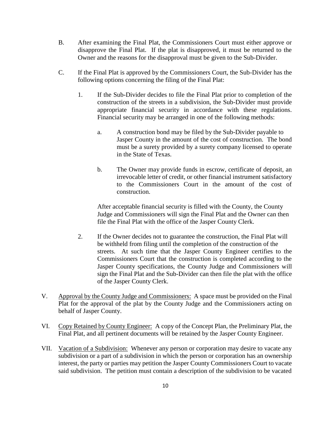- B. After examining the Final Plat, the Commissioners Court must either approve or disapprove the Final Plat. If the plat is disapproved, it must be returned to the Owner and the reasons for the disapproval must be given to the Sub-Divider.
- C. If the Final Plat is approved by the Commissioners Court, the Sub-Divider has the following options concerning the filing of the Final Plat:
	- 1. If the Sub-Divider decides to file the Final Plat prior to completion of the construction of the streets in a subdivision, the Sub-Divider must provide appropriate financial security in accordance with these regulations. Financial security may be arranged in one of the following methods:
		- a. A construction bond may be filed by the Sub-Divider payable to Jasper County in the amount of the cost of construction. The bond must be a surety provided by a surety company licensed to operate in the State of Texas.
		- b. The Owner may provide funds in escrow, certificate of deposit, an irrevocable letter of credit, or other financial instrument satisfactory to the Commissioners Court in the amount of the cost of construction.

After acceptable financial security is filled with the County, the County Judge and Commissioners will sign the Final Plat and the Owner can then file the Final Plat with the office of the Jasper County Clerk.

- 2. If the Owner decides not to guarantee the construction, the Final Plat will be withheld from filing until the completion of the construction of the streets. At such time that the Jasper County Engineer certifies to the Commissioners Court that the construction is completed according to the Jasper County specifications, the County Judge and Commissioners will sign the Final Plat and the Sub-Divider can then file the plat with the office of the Jasper County Clerk.
- V. Approval by the County Judge and Commissioners: A space must be provided on the Final Plat for the approval of the plat by the County Judge and the Commissioners acting on behalf of Jasper County.
- VI. Copy Retained by County Engineer: A copy of the Concept Plan, the Preliminary Plat, the Final Plat, and all pertinent documents will be retained by the Jasper County Engineer.
- VII. Vacation of a Subdivision: Whenever any person or corporation may desire to vacate any subdivision or a part of a subdivision in which the person or corporation has an ownership interest, the party or parties may petition the Jasper County Commissioners Court to vacate said subdivision. The petition must contain a description of the subdivision to be vacated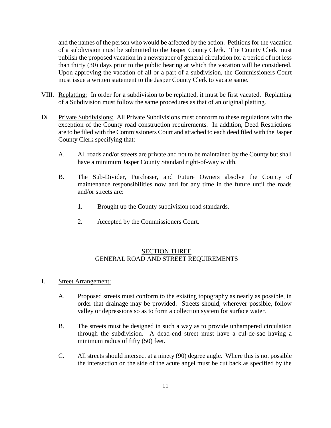and the names of the person who would be affected by the action. Petitions for the vacation of a subdivision must be submitted to the Jasper County Clerk. The County Clerk must publish the proposed vacation in a newspaper of general circulation for a period of not less than thirty (30) days prior to the public hearing at which the vacation will be considered. Upon approving the vacation of all or a part of a subdivision, the Commissioners Court must issue a written statement to the Jasper County Clerk to vacate same.

- VIII. Replatting: In order for a subdivision to be replatted, it must be first vacated. Replatting of a Subdivision must follow the same procedures as that of an original platting.
- IX. Private Subdivisions: All Private Subdivisions must conform to these regulations with the exception of the County road construction requirements. In addition, Deed Restrictions are to be filed with the Commissioners Court and attached to each deed filed with the Jasper County Clerk specifying that:
	- A. All roads and/or streets are private and not to be maintained by the County but shall have a minimum Jasper County Standard right-of-way width.
	- B. The Sub-Divider, Purchaser, and Future Owners absolve the County of maintenance responsibilities now and for any time in the future until the roads and/or streets are:
		- 1. Brought up the County subdivision road standards.
		- 2. Accepted by the Commissioners Court.

#### SECTION THREE GENERAL ROAD AND STREET REQUIREMENTS

- I. Street Arrangement:
	- A. Proposed streets must conform to the existing topography as nearly as possible, in order that drainage may be provided. Streets should, wherever possible, follow valley or depressions so as to form a collection system for surface water.
	- B. The streets must be designed in such a way as to provide unhampered circulation through the subdivision. A dead-end street must have a cul-de-sac having a minimum radius of fifty (50) feet.
	- C. All streets should intersect at a ninety (90) degree angle. Where this is not possible the intersection on the side of the acute angel must be cut back as specified by the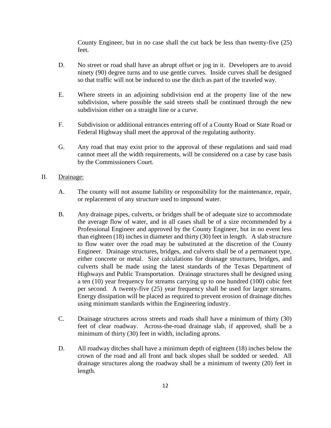County Engineer, but in no case shall the cut back be less than twenty-five (25) feet.

- D. No street or road shall have an abrupt offset or jog in it. Developers are to avoid ninety (90) degree turns and to use gentle curves. Inside curves shall be designed so that traffic will not be induced to use the ditch as part of the traveled way.
- E. Where streets in an adjoining subdivision end at the property line of the new subdivision, where possible the said streets shall be continued through the new subdivision either on a straight line or a curve.
- F. Subdivision or additional entrances entering off of a County Road or State Road or Federal Highway shall meet the approval of the regulating authority.
- G. Any road that may exist prior to the approval of these regulations and said road cannot meet all the width requirements, will be considered on a case by case basis by the Commissioners Court.

#### II. Drainage:

- A. The county will not assume liability or responsibility for the maintenance, repair, or replacement of any structure used to impound water.
- B. Any drainage pipes, culverts, or bridges shall be of adequate size to accommodate the average flow of water, and in all cases shall be of a size recommended by a Professional Engineer and approved by the County Engineer, but in no event less than eighteen (18) inches in diameter and thirty (30) feet in length. A slab structure to flow water over the road may be substituted at the discretion of the County Engineer. Drainage structures, bridges, and culverts shall be of a permanent type, either concrete or metal. Size calculations for drainage structures, bridges, and culverts shall be made using the latest standards of the Texas Department of Highways and Public Transportation. Drainage structures shall be designed using a ten (10) year frequency for streams carrying up to one hundred (100) cubic feet per second. A twenty-five (25) year frequency shall be used for larger streams. Energy dissipation will be placed as required to prevent erosion of drainage ditches using minimum standards within the Engineering industry.
- C. Drainage structures across streets and roads shall have a minimum of thirty (30) feet of clear roadway. Across-the-road drainage slab, if approved, shall be a minimum of thirty (30) feet in width, including aprons.
- D. All roadway ditches shall have a minimum depth of eighteen (18) inches below the crown of the road and all front and back slopes shall be sodded or seeded. All drainage structures along the roadway shall be a minimum of twenty (20) feet in length.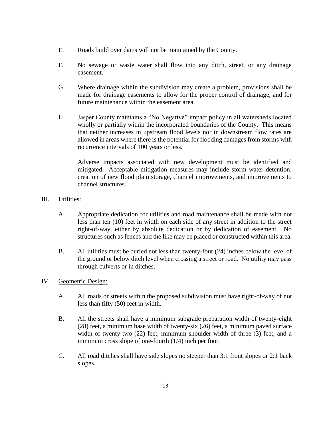- E. Roads build over dams will not be maintained by the County.
- F. No sewage or waste water shall flow into any ditch, street, or any drainage easement.
- G. Where drainage within the subdivision may create a problem, provisions shall be made for drainage easements to allow for the proper control of drainage, and for future maintenance within the easement area.
- H. Jasper County maintains a "No Negative" impact policy in all watersheds located wholly or partially within the incorporated boundaries of the County. This means that neither increases in upstream flood levels nor in downstream flow rates are allowed in areas where there is the potential for flooding damages from storms with recurrence intervals of 100 years or less.

Adverse impacts associated with new development must be identified and mitigated. Acceptable mitigation measures may include storm water detention, creation of new flood plain storage, channel improvements, and improvements to channel structures.

- III. Utilities:
	- A. Appropriate dedication for utilities and road maintenance shall be made with not less than ten (10) feet in width on each side of any street in addition to the street right-of-way, either by absolute dedication or by dedication of easement. No structures such as fences and the like may be placed or constructed within this area.
	- B. All utilities must be buried not less than twenty-four (24) inches below the level of the ground or below ditch level when crossing a street or road. No utility may pass through culverts or in ditches.
- IV. Geometric Design:
	- A. All roads or streets within the proposed subdivision must have right-of-way of not less than fifty (50) feet in width.
	- B. All the streets shall have a minimum subgrade preparation width of twenty-eight (28) feet, a minimum base width of twenty-six (26) feet, a minimum paved surface width of twenty-two (22) feet, minimum shoulder width of three (3) feet, and a minimum cross slope of one-fourth (1/4) inch per foot.
	- C. All road ditches shall have side slopes no steeper than 3:1 front slopes or 2:1 back slopes.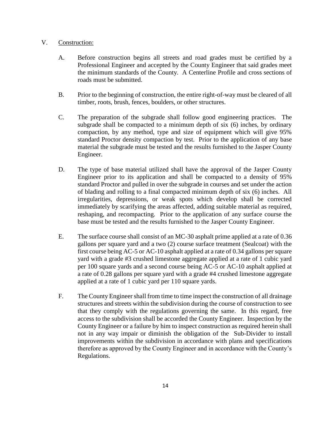#### V. Construction:

- A. Before construction begins all streets and road grades must be certified by a Professional Engineer and accepted by the County Engineer that said grades meet the minimum standards of the County. A Centerline Profile and cross sections of roads must be submitted.
- B. Prior to the beginning of construction, the entire right-of-way must be cleared of all timber, roots, brush, fences, boulders, or other structures.
- C. The preparation of the subgrade shall follow good engineering practices. The subgrade shall be compacted to a minimum depth of six (6) inches, by ordinary compaction, by any method, type and size of equipment which will give 95% standard Proctor density compaction by test. Prior to the application of any base material the subgrade must be tested and the results furnished to the Jasper County Engineer.
- D. The type of base material utilized shall have the approval of the Jasper County Engineer prior to its application and shall be compacted to a density of 95% standard Proctor and pulled in over the subgrade in courses and set under the action of blading and rolling to a final compacted minimum depth of six (6) inches. All irregularities, depressions, or weak spots which develop shall be corrected immediately by scarifying the areas affected, adding suitable material as required, reshaping, and recompacting. Prior to the application of any surface course the base must be tested and the results furnished to the Jasper County Engineer.
- E. The surface course shall consist of an MC-30 asphalt prime applied at a rate of 0.36 gallons per square yard and a two (2) course surface treatment (Sealcoat) with the first course being AC-5 or AC-10 asphalt applied at a rate of 0.34 gallons per square yard with a grade #3 crushed limestone aggregate applied at a rate of 1 cubic yard per 100 square yards and a second course being AC-5 or AC-10 asphalt applied at a rate of 0.28 gallons per square yard with a grade #4 crushed limestone aggregate applied at a rate of 1 cubic yard per 110 square yards.
- F. The County Engineer shall from time to time inspect the construction of all drainage structures and streets within the subdivision during the course of construction to see that they comply with the regulations governing the same. In this regard, free access to the subdivision shall be accorded the County Engineer. Inspection by the County Engineer or a failure by him to inspect construction as required herein shall not in any way impair or diminish the obligation of the Sub-Divider to install improvements within the subdivision in accordance with plans and specifications therefore as approved by the County Engineer and in accordance with the County's Regulations.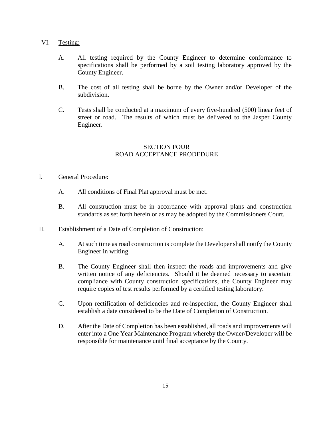#### VI. Testing:

- A. All testing required by the County Engineer to determine conformance to specifications shall be performed by a soil testing laboratory approved by the County Engineer.
- B. The cost of all testing shall be borne by the Owner and/or Developer of the subdivision.
- C. Tests shall be conducted at a maximum of every five-hundred (500) linear feet of street or road. The results of which must be delivered to the Jasper County Engineer.

### SECTION FOUR ROAD ACCEPTANCE PRODEDURE

#### I. General Procedure:

- A. All conditions of Final Plat approval must be met.
- B. All construction must be in accordance with approval plans and construction standards as set forth herein or as may be adopted by the Commissioners Court.

#### II. Establishment of a Date of Completion of Construction:

- A. At such time as road construction is complete the Developer shall notify the County Engineer in writing.
- B. The County Engineer shall then inspect the roads and improvements and give written notice of any deficiencies. Should it be deemed necessary to ascertain compliance with County construction specifications, the County Engineer may require copies of test results performed by a certified testing laboratory.
- C. Upon rectification of deficiencies and re-inspection, the County Engineer shall establish a date considered to be the Date of Completion of Construction.
- D. After the Date of Completion has been established, all roads and improvements will enter into a One Year Maintenance Program whereby the Owner/Developer will be responsible for maintenance until final acceptance by the County.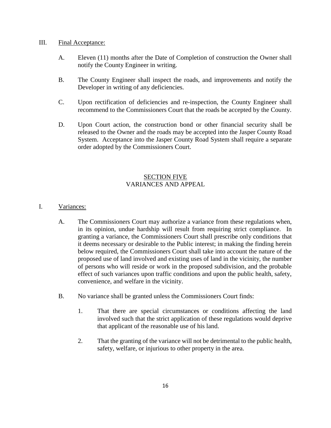#### III. Final Acceptance:

- A. Eleven (11) months after the Date of Completion of construction the Owner shall notify the County Engineer in writing.
- B. The County Engineer shall inspect the roads, and improvements and notify the Developer in writing of any deficiencies.
- C. Upon rectification of deficiencies and re-inspection, the County Engineer shall recommend to the Commissioners Court that the roads be accepted by the County.
- D. Upon Court action, the construction bond or other financial security shall be released to the Owner and the roads may be accepted into the Jasper County Road System. Acceptance into the Jasper County Road System shall require a separate order adopted by the Commissioners Court.

## SECTION FIVE VARIANCES AND APPEAL

### I. Variances:

- A. The Commissioners Court may authorize a variance from these regulations when, in its opinion, undue hardship will result from requiring strict compliance. In granting a variance, the Commissioners Court shall prescribe only conditions that it deems necessary or desirable to the Public interest; in making the finding herein below required, the Commissioners Court shall take into account the nature of the proposed use of land involved and existing uses of land in the vicinity, the number of persons who will reside or work in the proposed subdivision, and the probable effect of such variances upon traffic conditions and upon the public health, safety, convenience, and welfare in the vicinity.
- B. No variance shall be granted unless the Commissioners Court finds:
	- 1. That there are special circumstances or conditions affecting the land involved such that the strict application of these regulations would deprive that applicant of the reasonable use of his land.
	- 2. That the granting of the variance will not be detrimental to the public health, safety, welfare, or injurious to other property in the area.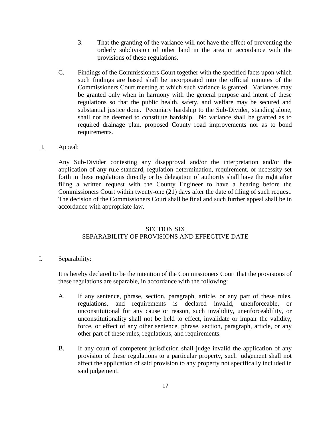- 3. That the granting of the variance will not have the effect of preventing the orderly subdivision of other land in the area in accordance with the provisions of these regulations.
- C. Findings of the Commissioners Court together with the specified facts upon which such findings are based shall be incorporated into the official minutes of the Commissioners Court meeting at which such variance is granted. Variances may be granted only when in harmony with the general purpose and intent of these regulations so that the public health, safety, and welfare may be secured and substantial justice done. Pecuniary hardship to the Sub-Divider, standing alone, shall not be deemed to constitute hardship. No variance shall be granted as to required drainage plan, proposed County road improvements nor as to bond requirements.

#### II. Appeal:

Any Sub-Divider contesting any disapproval and/or the interpretation and/or the application of any rule standard, regulation determination, requirement, or necessity set forth in these regulations directly or by delegation of authority shall have the right after filing a written request with the County Engineer to have a hearing before the Commissioners Court within twenty-one (21) days after the date of filing of such request. The decision of the Commissioners Court shall be final and such further appeal shall be in accordance with appropriate law.

#### SECTION SIX SEPARABILITY OF PROVISIONS AND EFFECTIVE DATE

#### I. Separability:

It is hereby declared to be the intention of the Commissioners Court that the provisions of these regulations are separable, in accordance with the following:

- A. If any sentence, phrase, section, paragraph, article, or any part of these rules, regulations, and requirements is declared invalid, unenforceable, or unconstitutional for any cause or reason, such invalidity, unenforceablility, or unconstitutionality shall not be held to effect, invalidate or impair the validity, force, or effect of any other sentence, phrase, section, paragraph, article, or any other part of these rules, regulations, and requirements.
- B. If any court of competent jurisdiction shall judge invalid the application of any provision of these regulations to a particular property, such judgement shall not affect the application of said provision to any property not specifically included in said judgement.